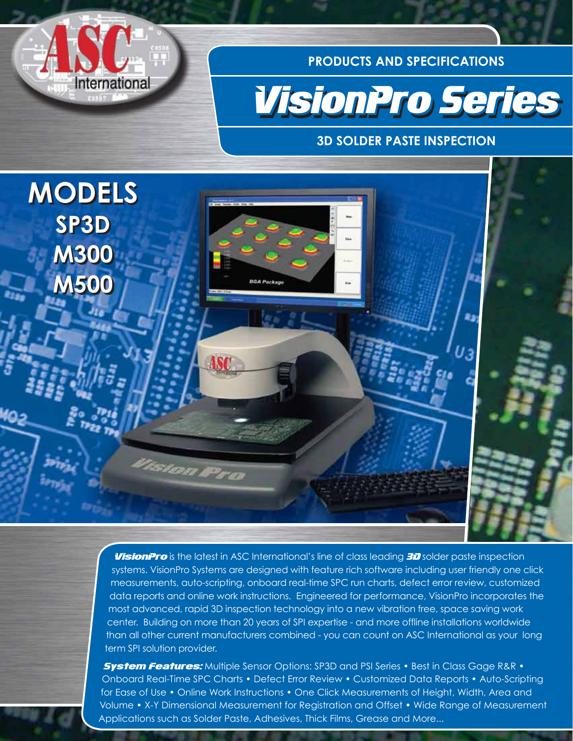

**PRODUCTS AND SPECIFICATIONS**



### **3D SOLDER PASTE INSPECTION**



**VisionPro** is the latest in ASC International's line of class leading 3D solder paste inspection systems. VisionPro Systems are designed with feature rich software including user friendly one click measurements, auto-scripting, onboard real-time SPC run charts, defect error review, customized data reports and online work instructions. Engineered for performance, VisionPro incorporates the most advanced, rapid 3D inspection technology into a new vibration free, space saving work center. Building on more than 20 years of SPI expertise - and more offline installations worldwide than all other current manufacturers combined - you can count on ASC International as your long term SPI solution provider.

**System Features:** Multiple Sensor Options: SP3D and PSI Series • Best in Class Gage R&R • Onboard Real-Time SPC Charts • Defect Error Review • Customized Data Reports • Auto-Scripting for Ease of Use • Online Work Instructions • One Click Measurements of Height, Width, Area and Volume • X-Y Dimensional Measurement for Registration and Offset • Wide Range of Measurement Applications such as Solder Paste, Adhesives, Thick Films, Grease and More...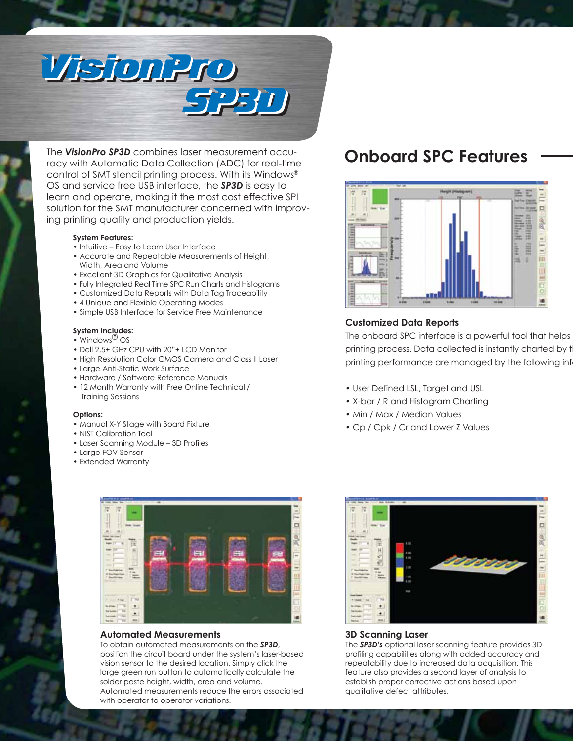

The *VisionPro SP3D* combines laser measurement accu-The *VisionPro SP3D* combines laser measurement accuracy with Automatic Data Collection (ADC) for real-time racy with Automatic Data Collection (ADC) for real-time control of SMT stencil printing process. With its Windows® control of SMT stencil printing process. With its Windows® OS and service free USB interface, the *SP3D* is easy to OS and service free USB interface, the *SP3D* is easy to learn and operate, making it the most cost effective SPI learn and operate, making it the most cost effective SPI solution for the SMT manufacturer concerned with improv-solution for the SMT manufacturer concerned with improving printing quality and production yields. ing printing quality and production yields.

#### **System Features: System Features:**

- Intuitive Easy to Learn User Interface Intuitive Easy to Learn User Interface
- Accurate and Repeatable Measurements of Height, Accurate and Repeatable Measurements of Height, Width, Area and Volume Width, Area and Volume
- Excellent 3D Graphics for Qualitative Analysis Excellent 3D Graphics for Qualitative Analysis
- Fully Integrated Real Time SPC Run Charts and Histograms Fully Integrated Real Time SPC Run Charts and Histograms
- Customized Data Reports with Data Tag Traceability Customized Data Reports with Data Tag Traceability
- 4 Unique and Flexible Operating Modes 4 Unique and Flexible Operating Modes
- Simple USB Interface for Service Free Maintenance Simple USB Interface for Service Free Maintenance

#### **System Includes: System Includes:**

- Windows<sup>®</sup> OS  $\mathcal{S}$
- Dell 2.5+ GHz CPU with 20"+ LCD Monitor CPU with 20"+ LCD Monitor
- High Resolution Color CMOS Camera and Class II Laser High Resolution Color CMOS Camera and Class II Laser
- Large Anti-Static Work Surface Large Anti-Static Work Surface
- Hardware / Software Reference Manuals Hardware / Software Reference Manuals
- 12 Month Warranty with Free Online Technical / 12 Month Warranty with Free Online Technical / Training Sessions Training Sessions

### **Options:**

- Manual X-Y Stage with Board Fixture Manual X-Y Stage with Board Fixture
- NIST Calibration Tool NIST Calibration Tool
- Laser Scanning Module 3D Profiles Laser Scanning Module 3D Profiles
- Large FOV Sensor Large FOV Sensor
- Extended Warranty Extended Warranty



### **Automated Measurements Automated Measurements**

To obtain automated measurements on the *SP3D*, To obtain automated measurements on the *SP3D*, position the circuit board under the system's laser-based position the circuit board under the system's laser-based vision sensor to the desired location. Simply click the vision sensor to the desired location. Simply click the large green run button to automatically calculate the large green run button to automatically calculate the solder paste height, width, area and volume. solder paste height, width, area and volume. Automated measurements reduce the errors associated Automated measurements reduce the errors associated with operator to operator variations. with operator to operator variations.

### **Onboard SPC Features Onboard SPC Features**



### **Customized Data Reports Customized Data Reports**

The onboard SPC interface is a powerful tool that helps printing process. Data collected is instantly charted by t printing performance are managed by the following inf

- User Defined LSL, Target and USL User Defined LSL, Target and USL
- X-bar / R and Histogram Charting X-bar / R and Histogram Charting
- Min / Max / Median Values Min / Max / Median Values
- Cp / Cpk / Cr and Lower Z Values Cp / Cpk / Cr and Lower Z Values



### **3D Scanning Laser 3D Scanning Laser**

The *SP3D's* optional laser scanning feature provides 3D The *SP3D's* optional laser scanning feature provides 3D profiling capabilities along with added accuracy and profiling capabilities along with added accuracy and repeatability due to increased data acquisition. This repeatability due to increased data acquisition. This feature also provides a second layer of analysis to feature also provides a second layer of analysis to establish proper corrective actions based upon establish proper corrective actions based upon qualitative defect attributes. qualitative defect attributes.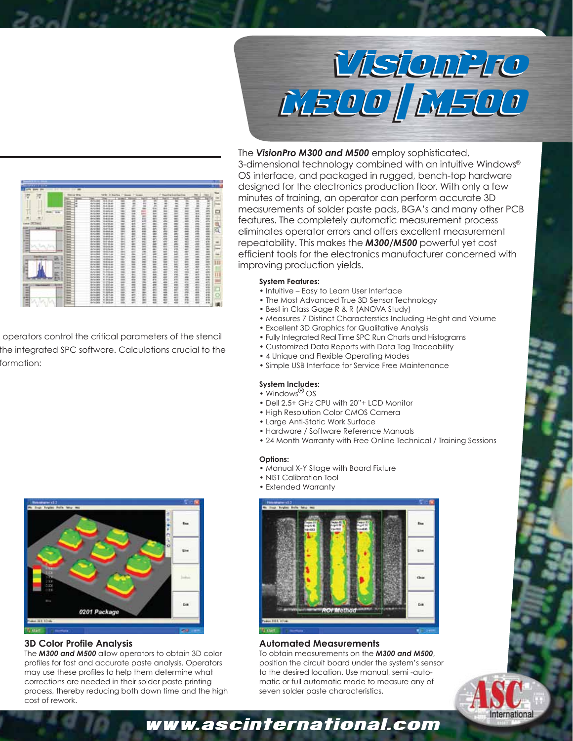

# 00111023333333333311133333413333333311110 **MARINEZA SERVICERTE ET ALGUMENTE EXECUTER NEESSARPORTEERINGESTAGGESSPREERING** 1855583888888888888888888888888888888 **System Features:**

operators control the critical parameters of the stencil the integrated SPC software. Calculations crucial to the formation:



### **3D Color Profile Analysis 3D Color Profile Analysis**

The *M300 and M500* allow operators to obtain 3D color The *M300 and M500* allow operators to obtain 3D color profiles for fast and accurate paste analysis. Operators profiles for fast and accurate paste analysis. Operators may use these profiles to help them determine what may use these profiles to help them determine what corrections are needed in their solder paste printing corrections are needed in their solder paste printing process, thereby reducing both down time and the high process, thereby reducing both down time and the high cost of rework.

### The **VisionPro M300 and M500** employ sophisticated,

3-dimensional technology combined with an intuitive Windows® 3-dimensional technology combined with an intuitive Windows® OS interface, and packaged in rugged, bench-top hardware OS interface, and packaged in rugged, bench-top hardware designed for the electronics production floor. With only a few **minutes of training, an operator can perform accurate 3D**  $\frac{2}{\pi}$   $\frac{2}{\pi}$  measurements of solder paste pads, BGA's and many other PCB **Features.** The completely automatic measurement process  $E = \frac{1}{2}$  eliminates operator errors and offers excellent measurement repeatability. This makes the *M300/M500* powerful yet cost repeatability. This makes the *M300/M500* powerful yet cost  $\frac{E}{\epsilon}$   $\frac{E}{\epsilon}$  efficient tools for the electronics manufacturer concerned with  $\frac{1}{2}$  improving production yields.

### **System Features:**

- $\frac{1}{2}$   $\frac{1}{2}$  Intuitive Easy to Learn User Interface
- The Most Advanced True 3D Sensor Technology The Most Advanced True 3D Sensor Technology
- Best in Class Gage R & R (ANOVA Study) Best in Class Gage R & R (ANOVA Study)
- Measures 7 Distinct Characterstics Including Height and Volume Measures 7 Distinct Characterstics Including Height and Volume
- Excellent 3D Graphics for Qualitative Analysis Excellent 3D Graphics for Qualitative Analysis
- Fully Integrated Real Time SPC Run Charts and Histograms Fully Integrated Real Time SPC Run Charts and Histograms
- Customized Data Reports with Data Tag Traceability Customized Data Reports with Data Tag Traceability
- 4 Unique and Flexible Operating Modes 4 Unique and Flexible Operating Modes
- Simple USB Interface for Service Free Maintenance Simple USB Interface for Service Free Maintenance

### **System Includes: System Includes:** • Windows® OS

- Windows<sup>®</sup> OS
- Dell 2.5+ GHz CPU with 20"+ LCD Monitor Dell 2.5+ GHz CPU with 20"+ LCD Monitor
- High Resolution Color CMOS Camera High Resolution Color CMOS Camera
- Large Anti-Static Work Surface Large Anti-Static Work Surface
- Hardware / Software Reference Manuals Hardware / Software Reference Manuals
- 24 Month Warranty with Free Online Technical / Training Sessions 24 Month Warranty with Free Online Technical / Training Sessions

#### **Options:**

- Manual X-Y Stage with Board Fixture Manual X-Y Stage with Board Fixture
- NIST Calibration Tool NIST Calibration Tool
- Extended Warranty Extended Warranty



### **Automated Measurements Automated Measurements**

To obtain measurements on the *M300 and M500*, To obtain measurements on the *M300 and M500*, position the circuit board under the system's sensor position the circuit board under the system's sensor to the desired location. Use manual, semi -auto-to the desired location. Use manual, semi -automatic or full automatic mode to measure any of matic or full automatic mode to measure any of seven solder paste characteristics. seven solder paste characteristics.



## www.ascinternational.com www.ascinternational.com